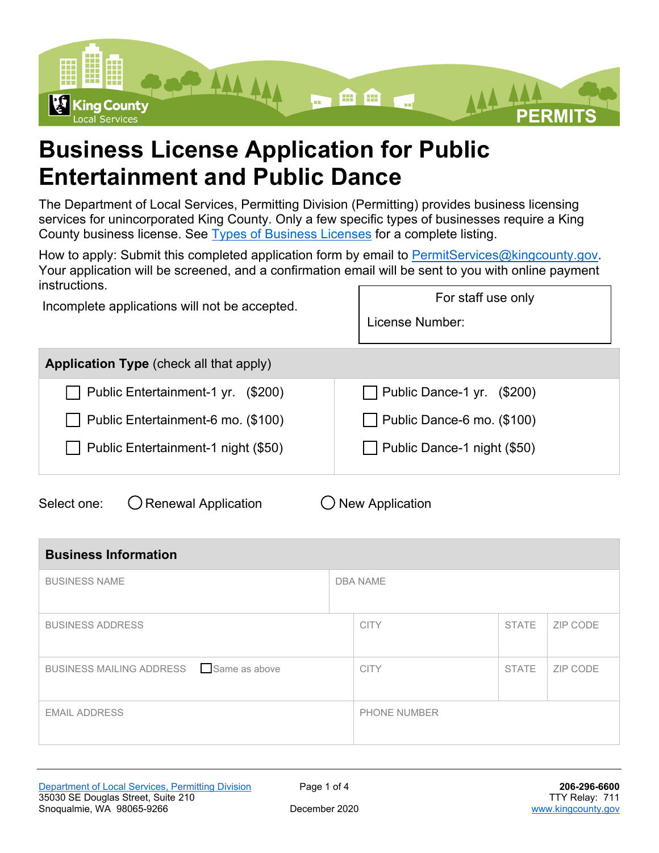

## **Business License Application for Public Entertainment and Public Dance**

The Department of Local Services, Permitting Division (Permitting) provides business licensing services for unincorporated King County. Only a few specific types of businesses require a King County business license. See [Types of Business Licenses](https://kingcounty.gov/services/business/licenses/types.aspx) for a complete listing.

How to apply: Submit this completed application form by email to [PermitServices@kingcounty.gov.](mailto:PermitServices@kingcounty.gov) Your application will be screened, and a confirmation email will be sent to you with online payment **instructions** For staff use only

Incomplete applications will not be accepted.

License Number:

| Public Dance-1 yr. (\$200)  |
|-----------------------------|
| Public Dance-6 mo. (\$100)  |
| Public Dance-1 night (\$50) |
|                             |

Select one:  $\bigcirc$  Renewal Application  $\bigcirc$  New Application

| <b>Business Information</b>            |  |                     |              |          |
|----------------------------------------|--|---------------------|--------------|----------|
| <b>BUSINESS NAME</b>                   |  | <b>DBA NAME</b>     |              |          |
| <b>BUSINESS ADDRESS</b>                |  | <b>CITY</b>         | <b>STATE</b> | ZIP CODE |
| BUSINESS MAILING ADDRESS Same as above |  | <b>CITY</b>         | <b>STATE</b> | ZIP CODE |
| <b>EMAIL ADDRESS</b>                   |  | <b>PHONE NUMBER</b> |              |          |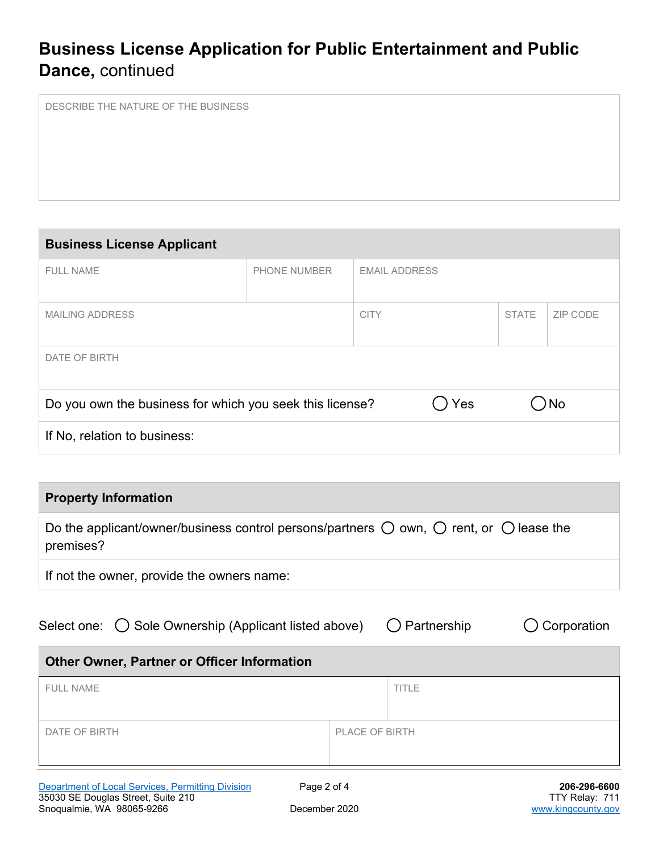## **Business License Application for Public Entertainment and Public Dance,** continued

DESCRIBE THE NATURE OF THE BUSINESS

# **Business License Applicant** FULL NAME **PHONE NUMBER** EMAIL ADDRESS

| <b>MAILING ADDRESS</b>                                   | <b>CITY</b> |     | <b>STATE</b> | ZIP CODE |
|----------------------------------------------------------|-------------|-----|--------------|----------|
| DATE OF BIRTH                                            |             |     |              |          |
| Do you own the business for which you seek this license? |             | Yes |              | )No      |
| If No, relation to business:                             |             |     |              |          |

#### **Property Information**

| Do the applicant/owner/business control persons/partners $\bigcirc$ own, $\bigcirc$ rent, or $\bigcirc$ lease the<br>premises? |
|--------------------------------------------------------------------------------------------------------------------------------|
| If not the owner, provide the owners name:                                                                                     |

Select one:  $\bigcirc$  Sole Ownership (Applicant listed above)  $\bigcirc$  Partnership  $\bigcirc$  Corporation

# **Other Owner, Partner or Officer Information** FULL NAME TITLE DATE OF BIRTH PLACE OF BIRTH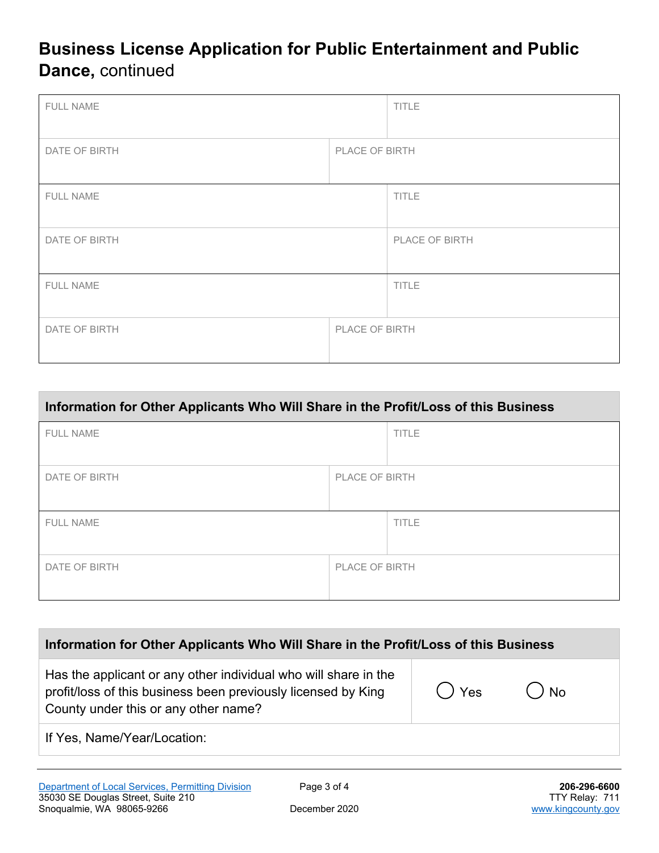## **Business License Application for Public Entertainment and Public Dance,** continued

| <b>FULL NAME</b>                |                | <b>TITLE</b>   |
|---------------------------------|----------------|----------------|
| DATE OF BIRTH                   | PLACE OF BIRTH |                |
| FULL NAME                       |                | TITLE          |
| DATE OF BIRTH                   |                | PLACE OF BIRTH |
| FULL NAME                       |                | <b>TITLE</b>   |
| PLACE OF BIRTH<br>DATE OF BIRTH |                |                |

| Information for Other Applicants Who Will Share in the Profit/Loss of this Business |                |              |  |
|-------------------------------------------------------------------------------------|----------------|--------------|--|
| <b>FULL NAME</b>                                                                    |                | <b>TITLE</b> |  |
| DATE OF BIRTH                                                                       | PLACE OF BIRTH |              |  |
| <b>FULL NAME</b>                                                                    |                | <b>TITLE</b> |  |
| DATE OF BIRTH                                                                       | PLACE OF BIRTH |              |  |

| Has the applicant or any other individual who will share in the<br>$()$ Yes<br>$()$ No<br>profit/loss of this business been previously licensed by King<br>County under this or any other name?<br>If Yes, Name/Year/Location: | Information for Other Applicants Who Will Share in the Profit/Loss of this Business |  |  |  |
|--------------------------------------------------------------------------------------------------------------------------------------------------------------------------------------------------------------------------------|-------------------------------------------------------------------------------------|--|--|--|
|                                                                                                                                                                                                                                |                                                                                     |  |  |  |
|                                                                                                                                                                                                                                |                                                                                     |  |  |  |